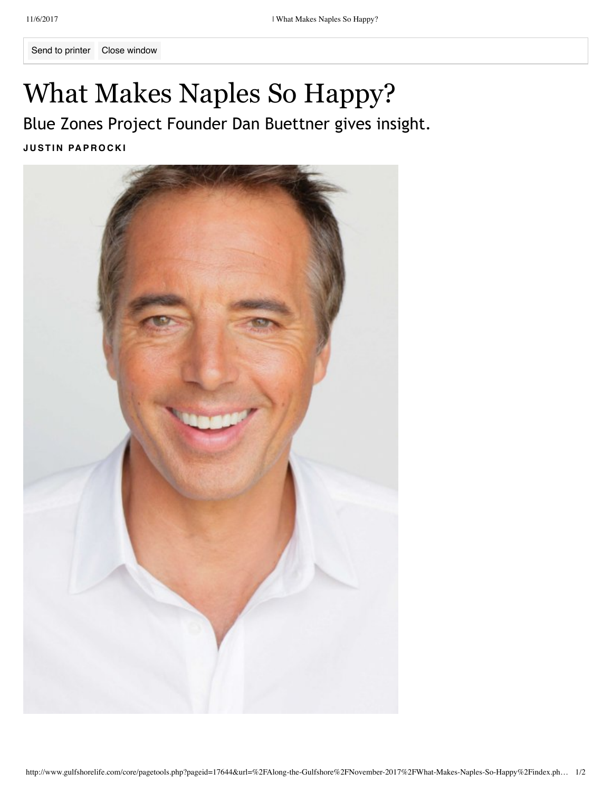Send to printer Close window

## What Makes Naples So Happy?

Blue Zones Project Founder Dan Buettner gives insight.

**J U ST I N PA P R O C K I**